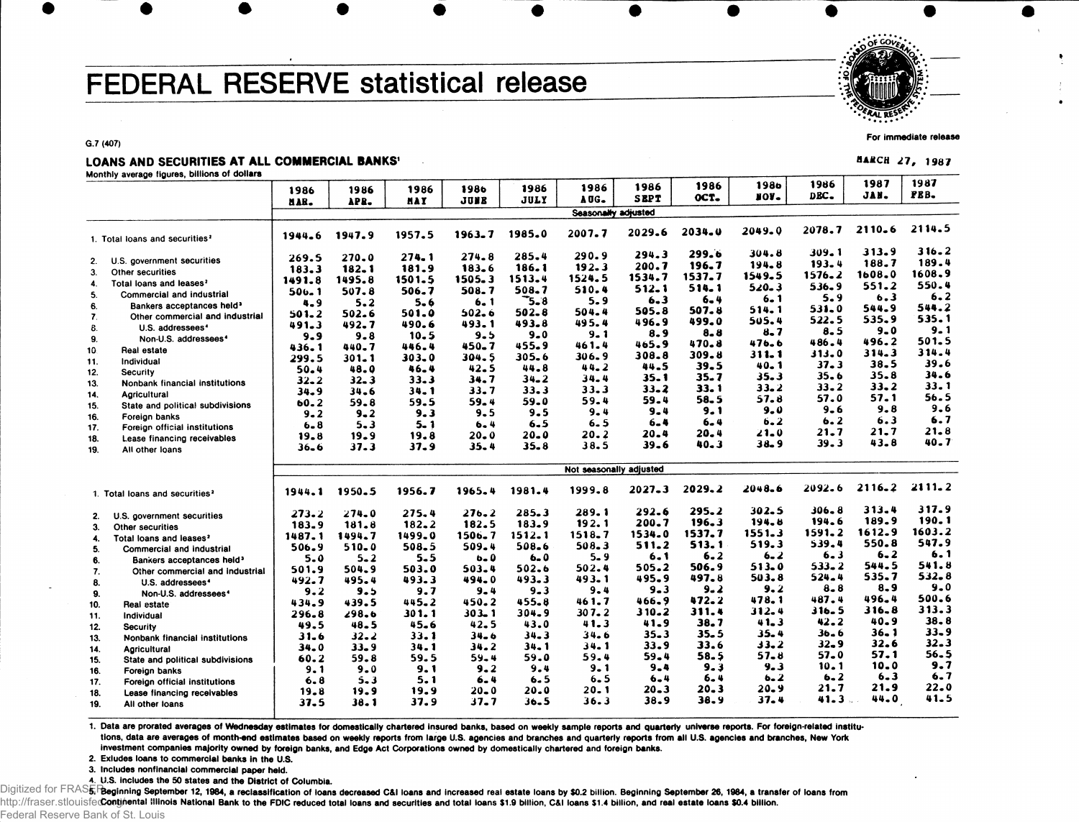# **FEDERAL RESERVE statistical release**

*••f\*ALVS&T.-*

**For immediate release** MARCH 27, 1987

G.7 (407)

### LOANS AND SECURITIES AT ALL COMMERCIAL BANKS

**Monthly average figures, billions of dollars**

1986 HAH. 1986 APR. 1986 MAI 1986 JUMB 1986 JULY 1986 AOG. 1986 **SEPT** 1986 OCT. 1986 moit. 198 6 DBC. 198 7 JAM. 1987 FEB. **SeasonaWv adjusted** 1. Total loans and securities<sup>2</sup> 2. U.S. government securities 3. Other securities 4. Total loans and leases<sup>2</sup> 5. Commercial and industrial 6. Bankers acceptances held\* 7. Other commercial and industrial 8. U.S. addressees<sup>4</sup> 9. Non-U.S. addressees<sup>4</sup> 10 Real estate 11. Individual 12. Security 13. Nonbank financial institutions 14. Agricultural 15. State and political subdivisions 16. Foreign banks 17. Foreign official institutions 18. Lease financing receivables 19. All other loans 1. Total loans and securities<sup>2</sup> 1944. 6 1947. 9 1957. 5 1963. 7 1985. 0 2007. 7 2029. 6 269. 5 270. 0 274. 1 274. 8 285. 4 290. 9 294. 3 183. 3 182. 1 181. 9 183. 6 186. 1 192. 3 200. 7 1491. 8 1495. 8 1501. 5 1505. 3 1513. 4 1524. 5 1534. 7 500 . 1 507. 8 506. 7 508. 7 508. 7 510. 4 512. 1  $4.9$   $5.2$   $5.6$   $6.1$   $5.8$   $5.9$   $6.3$ 501. 2 502. 6 501. 0 502. 6 502. 8 504. 4 505. 8 491.3 492.7 490.6 493.1 493.8 495.4 496.9 9.9 9.8 10.5 9.5 9.0 9.1 8.9 436.1 440.7 446.4 450.7 455.9 461.4 465.9 299. 5 301. 1 303. 0 304. \$ 305. 6 306. 9 308. 8 50. 4 48. 0 46. 4 42. 5 44. 8 44. 2 44. 5 32. 2 32. 3 33. 3 34. 7 34. 2 34. 4 35. 1 34. 9 34. 6 34. 1 33. 7 33. 3 33. 3 33. 3 60. 2 59. 8 59. 5 59. 4 59. 0 59. 4 59. 4 9.2 9.3 9.5 9.5 9.4 9.4 6 .8 5 .3 5 .1 6 .4 6 .5 6 .5 6 .4 19. 8 19. 9 19. 8 20. 0 20. 0 20. 2 20. 4 36. 6 37. 3 37. 9 35. 4 35. 8 38. 5 39. 6 2034. 0 2049 . Q 2078. 7 2110. 6 2114. 5 299. 6 304. 8 309. 1 313. 9 316. 2<br>196. 7 194. 8 193. 4 188. 7 189. 4 196.7 194.8 193.4 188.7 189.4<br>537.7 1549.5 1576.2 1608.0 1608.9 1537.7 1549.5 1576.2 1608.0 1608.9<br>514.1 520.3 536.9 551.2 550.4 514. 1 520. 3 536. 9 551. 2 550. 4 6  $-4$  6  $-1$  5  $-9$  6  $-3$  6  $-2$ 507. 8 514. 1 531. 0 544. 9 544. 2<br>499. 0 505. 4 522. 5 535. 9 535. 1 499. 0 505. 4 522. 5 535. 9 535. 1 8 **8 8 7** 8 5 9 9 9 9 1 470. 8 476. 6 486. 4 496. 2 501. 5<br>309. 8 311. 1 313. 0 314. 3 314. 4 309. 8 311. 1 313. 0 314. 3 314. 4 39. 5 40. 1 37. 3 38. 5 39. 6 35. 7 35. 3 35. 6 35. 8 34. 6  $33.1$   $33.2$   $33.2$   $33.2$   $33.1$ 58. 5 57. 8 57. 0 57. 1 56. 5 9**.** 1 9. 0 9. 6 9. 8 9. 6 6.4 6.2 6.2 6.3 6.7 20.4 21.0 21.7 21.7 21.8 40. 3 38. 9 39. 3 43. 8 40. 7 **Not seasonally adjusted** 2. U.S. government securities 273. 2<br>3. Other securities 183. 9 3. Other securities  $\begin{array}{|c|c|c|c|c|}\n\hline\n\text{3. 9} & \text{183. 9} \\
\text{4. Total loans and leaves?} & \text{1487. 1}\n\hline\n\end{array}$ 4. Total loans and leases<sup>2</sup> 1487.1<br>5. Commercial and industrial 1506.9 5. Commercial and industrial 506.9<br>6. Bankers acceptances held<sup>3</sup> 5.0 6. Bankers acceptances held<sup>3</sup> 5.0<br>7 . Other commercial and industrial 501.9 7. Other commercial and industrial 501.9<br>8. U.S. addressees\* 192.7 8. U.S. addressees<sup>4</sup>  $\begin{array}{c|c} \hline 492.7 \\ 9.2 \end{array}$ 9. Non-U.S. addressees<sup>4</sup> 9 . 2 10. Real estate 434.9<br>11. Individual 434.8 11. Individual 296.8<br>12 Security 19 49.5 12. Security<br>13. Nonbank financial institutions (1995) 13. Nonbank financial institutions | 31.6<br>14. Agricultural 34.0 14. Agricultural 14. 34.0<br>15. State and political subdivisions 60.2 15. State and political subdivisions 1 60.2<br>16. Foreign banks 1 9.1 Foreign banks 17. Foreign official institutions (1996) 6.8<br>18. Lease financing receivables (1998) 18. Lease financing receivables 19.8<br>19. All other loans 19.5 1944. 1 1950. 5 274. 0 **181.8**  1494. 7 510. 0  $5 - 2$ 504. 9 495. 4 9 . 5 439. 5 298. 6 48. 5 32. 2 33. 9 59. 8  $9 - 0$ 5 . 3 19. 9 1956. 7 1965. 4 1981. 4 1999. 8 2027. 3 2029. 2 2048. 6 275. 4 276. 2 285. 3 289 . 1 292. 6 295. 2 302. 5 182.2 182.5 183.9 192.1 200.7 196.3 194.8 1499. 0 1506. 7 1512. 1 1518. 7 1534. 0 1537. 7 1551. 3 508.5 509.4 508.6 508.3 511.2 513.1 519.3 5.5 b.0 6.0 5.9 6.1 6.2 6.2 503. 0 503. 4 502. 6 502. 4 505. 2 506. 9 513. 0 493.3 494.0 493.3 493.1 495.9 497.8 503.8 9.7 9.4 9.3 9.4 9.3 9.*2* 9.*2* 445. 2 450. 2 455. 9 461. 7 466. 9 472. 2 478. 1 301. 1 303. 1 304. 9 30 7 . 2 310. 2 311. 4 312. 4 45. 6 42. 5 43. 0 41. 3 41. 9 38. 7 41. 3 33. 1 34. 6 34. 3 34. 6 35. 3 35. 5 35. 4 34. 1 34. 2 34. 1 3 4 . 1 33. 9 33. 6 33. 2 59.5 59.4 59.0 59.4 59.4 58.5 57.8 9 . 1 9 . 2 9 . 4 9 . 1 9 . 4 9 . 3 . 9 . 3 5.1 6.4 6.5 6.5 6.4 6.4 6.2 19.9 20.0 20.0 20.1 20.3 20.3 20.9 2092. 6 2116. 2 2111. 2 306. 8 194. 6 1591. 2 539. 4  $6 - 3$ 533. 2 524. 4 **8.8**  487. 4 316. 5 42. 2  $36 - 6$ 32. 9 57. 0 10.1 6.2 21. 7 41. 3 313. 4 189. 9 1612. 9 550. 8 6.2 544. 5 535. 7 8 . 9 496. 4 316. 8 40. 9 36. 1 32. 6 57. 1 10.0  $6 - 3$ 21. 9 44. 0 317. 9 190. 1 1603. 2 547. 9 **6. 1** 541. 8 532. 8  $9 - 0$ 500. 6 313. 3 38. 8 33. 9 32. 3 56. 5 9 . 7 6 . 7 **22.0**  41. 5

37.9 37.7 36.5 36.3 38.9 38.9 37.4

1. Data are prorated averages of Wednesday estimates for domestically chartered insured banks, based on weekly sample reports and quarterly universe reports. For foreign-related institutions, data are averages of month-end estimates based on weekly reports from large U.S. agencies and branches and quarterly reports from all U.S. agencies and branches, New York investment companies majority owned by foreign banks, and Edge Act Corporations owned by domestically chartered and foreign banks.

**2. Exludes loans to commercial banks In the U.S.**

19. All other loans

3. **Includes nonfinancial commercial paper held.**

4 U**.S. Includes the 50 states and the District of Columbia.**

Digitized for FRAS5FBeginning September 12, 1984, a reclassification of loans decreased C&I loans and increased real estate loans by \$0.2 billion. Beginning September 26, 1984, a transfer of loans from http://fraser.stlouisfe**Gontjnental illinois National Bank to the FDIC reduced total loans and securities and total loans \$1.9 billion, C&I loans \$1.4 billion, and real estate loans \$0.4 billion.** Federal Reserve Bank of St. Louis

38. 1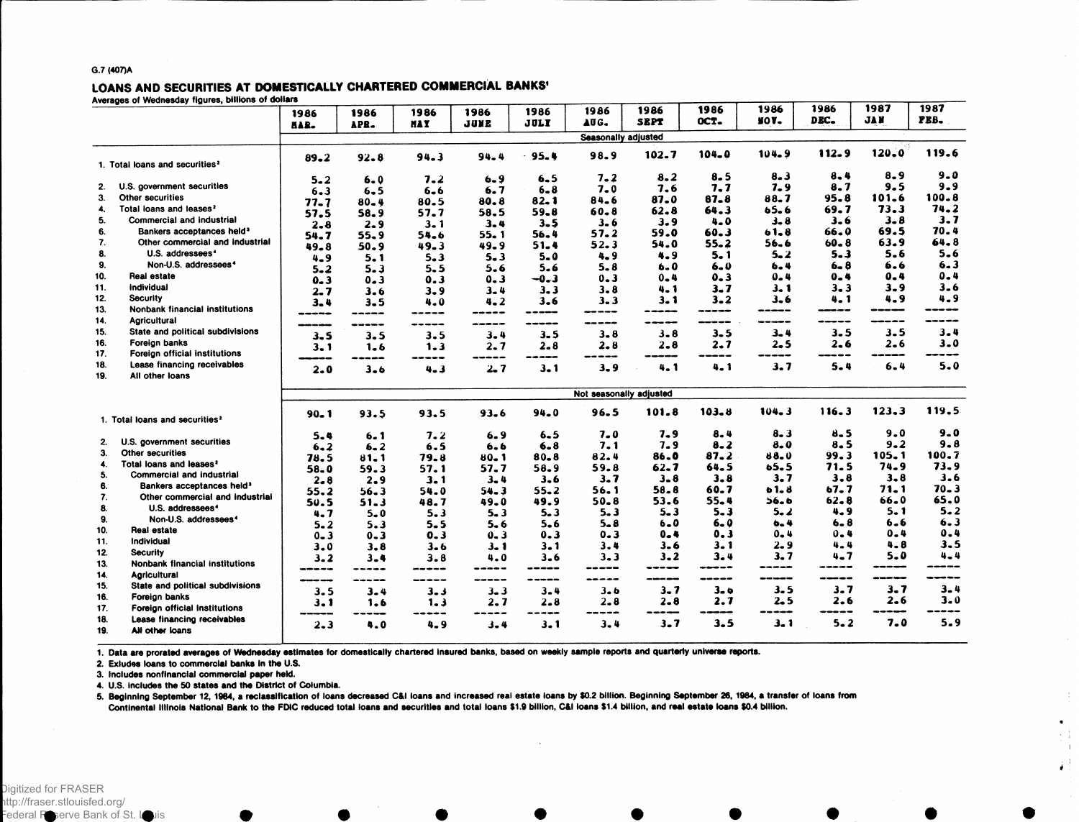### **G.7 (407)A**

# LOANS AND SECURITIES AT DOMESTICALLY CHARTERED COMMERCIAL BANKS<sup>1</sup><br>Averages of Wednesday figures, billions of dollars

|                                            | a or woundoady ngaroo, omnomo or               | 1986                    | 1986<br>APR. | 1986<br><b>MAY</b> | 1986<br>JUNE | 1986<br><b>JULY</b> | 1986<br>AUG.        | 1986<br><b>SEPT</b> | 1986<br>OCT. | 1986<br><b>NOV-</b> | 1986<br>DEC. | 1987<br><b>JAN</b> | 1987<br>PEB. |
|--------------------------------------------|------------------------------------------------|-------------------------|--------------|--------------------|--------------|---------------------|---------------------|---------------------|--------------|---------------------|--------------|--------------------|--------------|
|                                            |                                                | HAR.                    |              |                    |              |                     | Seasonally adjusted |                     |              |                     |              |                    |              |
| 1. Total loans and securities <sup>2</sup> |                                                | $89 - 2$                | $92 - 8$     | 94.3               | 94.4         | 95.4                | 98.9                | 102.7               | 104.0        | 104.9               | 112.9        | 120.0              | 119.6        |
|                                            |                                                | $5 - 2$                 | $6 - 0$      | 7.2                | $6 - 9$      | $6 - 5$             | $7 - 2$             | 8.2                 | 8.5          | 8.3                 | $8 - 4$      | $8 - 9$            | $9 - 0$      |
| 2.                                         | U.S. government securities                     | $6 - 3$                 | $6 - 5$      | $6 - 6$            | 6.7          | $6 - 8$             | $7 - 0$             | 7.6                 | 7.7          | $7 - 9$             | 8.7          | 9.5                | $9 - 9$      |
| 3.                                         | <b>Other securities</b>                        | $77 - 7$                | $80 - 4$     | 80.5               | 80.8         | 82.1                | 84.6                | 87.0                | $87 - 8$     | 88.7                | 95.8         | 101.6              | $100 - 8$    |
| 4.                                         | Total loans and leases <sup>2</sup>            | 57.5                    | 58.9         | 57.7               | 58.5         | $59 - 8$            | $60 - 8$            | 62.8                | 64.3         | 65.6                | 69.7         | 73.3               | 74.2         |
| 5.                                         | <b>Commercial and industrial</b>               | $2 - 8$                 | 2.9          | $3 - 1$            | $3 - 4$      | $3 - 5$             | $3 - 6$             | 3.9                 | 4.0          | 3.8                 | $3 - 6$      | $3 - 8$            | $3 - 7$      |
| 6.                                         | Bankers acceptances held <sup>3</sup>          | 54.7                    | 55.9         | 54.6               | 55.1         | 56.4                | 57.2                | 59.0                | 60.3         | 61.8                | 66.0         | 69.5               | 70.4         |
| 7.                                         | Other commercial and industrial                | 49.8                    | 50.9         | 49.3               | 49.9         | 51.4                | 52.3                | 54.0                | $55 - 2$     | 56.6                | $60 - 8$     | 63.9               | 64.8         |
| 8.                                         | U.S. addressees <sup>4</sup>                   | $4 - 9$                 | 5.1          | $5 - 3$            | $5 - 3$      | $5 - 0$             | $4 - 9$             | 4.9                 | $5 - 1$      | $5 - 2$             | $5 - 3$      | 5.6                | $5 - 6$      |
| 9.                                         | Non-U.S. addressees <sup>4</sup>               | $5 - 2$                 | $5 - 3$      | 5.5                | 5.6          | 5.6                 | $5 - 8$             | 6.0                 | $6 - 0$      | $6 - 4$             | $6 - 8$      | 6.6                | $6 - 3$      |
| 10.                                        | Real estate                                    | $0 - 3$                 | $0 - 3$      | 0.3                | $0 - 3$      | $-0.3$              | $0 - 3$             | $0 - 4$             | $0 - 3$      | 0.4                 | 0.4          | 0.4                | $0 - 4$      |
| 11.                                        | Individual                                     | $2 - 7$                 | 3.6          | $3 - 9$            | $3 - 4$      | 3.3                 | 3.8                 | $4 - 1$             | $3 - 7$      | 3. 1                | $3 - 3$      | $3 - 9$            | $3 - 6$      |
| 12.                                        | <b>Security</b>                                | $3 - 4$                 | $3 - 5$      | 4.0                | $4 - 2$      | $3 - 6$             | $3 - 3$             | $3 - 1$             | $3 - 2$      | 3.6                 | $4 - 1$      | 4.9                | 4.9          |
| 13.                                        | <b>Nonbank financial institutions</b>          | -----                   | -----        | ---                | -----        | -----               | -----               | ويبين ويروين        | -----        | -----               | ----         | -----              |              |
| 14.                                        | <b>Agricultural</b>                            |                         | -----        | ---                | ------       | -----               | -----               |                     | -----        | ---                 | -----        | -----              |              |
| 15.                                        | State and political subdivisions               | $3 - 5$                 | 3.5          | $3 - 5$            | $3 - 4$      | $3 - 5$             | 3.8                 | $3 - 8$             | $3 - 5$      | $3 - 4$             | 3.5          | $3 - 5$            | $3 - 4$      |
| 16.                                        | Foreign banks                                  | $3 - 1$                 | 1.6          | 1.3                | 2.7          | $2 - 8$             | $2 - 8$             | $2 - 8$             | $2 - 7$      | $2 - 5$             | 2.6          | $2 - 6$            | $3 - 0$      |
| 17.                                        | Foreign official institutions                  |                         | -----        | ---                | -----        | -----               | -----               |                     | ----         | --<br>---           | -----        |                    |              |
| 18.                                        | Lease financing receivables                    | $2 - 0$                 | $3 - 6$      | $4 - 3$            | $2 - 7$      | 3.1                 | $3 - 9$             | $4 - 1$             | 4.1          | 3.7                 | $5 - 4$      | $6 - 4$            | $5 - 0$      |
| 19.                                        | All other loans                                |                         |              |                    |              |                     |                     |                     |              |                     |              |                    |              |
|                                            |                                                | Not seasonally adjusted |              |                    |              |                     |                     |                     |              |                     |              |                    |              |
|                                            |                                                | $90 - 1$                | 93.5         | 93.5               | 93.6         | $94 - 0$            | 96.5                | 101.8               | 103.8        | 104.3               | 116.3        | 123.3              | 119.5        |
|                                            | 1. Total loans and securities <sup>2</sup>     |                         |              |                    |              |                     |                     |                     |              |                     |              |                    |              |
|                                            |                                                | $5 - 4$                 | $6 - 1$      | 7.2                | 6.9          | $6 - 5$             | $7 - 0$             | $7 - 9$             | 8.4          | 8.3                 | 8.5          | 9.0                | $9 - 0$      |
| 2.                                         | U.S. government securities                     | $6 - 2$                 | $6 - 2$      | 6.5                | 6.6          | $6 - 8$             | 7.1                 | $7 - 9$             | $8 - 2$      | $8 - 0$             | 8.5          | $9 - 2$            | $9 - 8$      |
| 3.                                         | <b>Other securities</b>                        | 78.5                    | $81 - 1$     | 79.8               | 80.1         | $80 - 8$            | 82.4                | 86.0                | $87 - 2$     | 88.U                | 99.3         | 105.1              | 100.7        |
| 4.                                         | Total loans and leases <sup>2</sup>            | 58.0                    | 59.3         | 57.1               | 57.7         | 58.9                | 59.8                | $62 - 7$            | 64.5         | 65.5                | 71.5         | 74.9               | 73.9         |
| 5.                                         | <b>Commercial and industrial</b>               | $2 - 8$                 | 2.9          | 3.1                | $3 - 4$      | $3 - 6$             | 3.7                 | $3 - 8$             | 3.8          | 3.7                 | 3.8          | $3 - 8$            | 3.6          |
| 6.                                         | Bankers acceptances held <sup>3</sup>          | 55.2                    | $56 - 3$     | 54.0               | $54 - 3$     | $55 - 2$            | 56.1                | $58 - 8$            | 60.7         | 61.8                | 67.7         | 71. 1              | $70 - 3$     |
| 7.                                         | Other commercial and industrial                | 50.5                    | 51.3         | 48.7               | 49.0         | 49.9                | $50 - 8$            | 53.6                | $55 - 4$     | 56.6                | $62 - 8$     | 66.0               | 65.0         |
| 8.                                         | U.S. addressees <sup>4</sup>                   | $4 - 7$                 | $5 - 0$      | $5 - 3$            | $5 - 3$      | $5 - 3$             | $5 - 3$             | 5. 3                | $5 - 3$      | $5 - 2$             | 4.9          | 5.1                | $5 - 2$      |
| 9.                                         | Non-U.S. addressees <sup>4</sup>               | $5 - 2$                 | 5.3          | $5 - 5$            | $5 - 6$      | $5 - 6$             | $5 - 8$             | $6 - 0$             | $6 - 0$      | $6 - 4$             | $6 - 8$      | 6.6                | $6 - 3$      |
| 10.                                        | Real estate                                    | $0 - 3$                 | $0 - 3$      | $0 - 3$            | $0 - 3$      | $0 - 3$             | $0 - 3$             | $0 - 4$             | 0.3          | $0 - 4$             | 0.4          | $0 - 4$            | $0 - 4$      |
| 11.                                        | Individual                                     | 3.0                     | 3.8          | $3 - 6$            | 3. 1         | $3 - 1$             | 3.4                 | $3 - 6$             | 3. 1         | 2.9                 | 4.4          | $4 - 8$            | $3 - 5$      |
| 12.                                        | <b>Security</b>                                | $3 - 2$                 | $3 - 4$      | 3.8                | 4.0          | $3 - 6$             | $3 - 3$             | $3 - 2$             | 3.4          | 3.7                 | 4.7          | $5 - 0$            | $4 - 4$      |
| 13.                                        | Nonbank financial institutions                 | -----                   | -----        | ---                | -----        | ---                 | -----               | -----               | ------       | $- - -$             | -----        | -----              | ----         |
| 14.                                        | <b>Agricultural</b>                            | ---                     | -----        | -----              | -----        | -----               | -----               | موجود ومربوب ومر    | -----        | ---                 | -----        | -----              |              |
| 15.                                        | State and political subdivisions               | 3.5                     | $3 - 4$      | 3.3                | $3 - 3$      | $3 - 4$             | 3.6                 | $3 - 7$             | $3 - 9$      | 3.5                 | $3 - 7$      | $3 - 7$            | $3 - 4$      |
| 16.                                        | Foreign banks                                  | $3 - 1$                 | 1.6          | 1.3                | 2. 7         | $2 - 8$             | $2 - 8$             | $2 - 8$             | 2.7          | $2 - 5$             | 2.6          | 2.6                | $3 - 0$      |
| 17.                                        | Foreign official institutions                  |                         | ---          | ---                |              | ---                 | ---                 | ---                 |              | ---                 | -----        |                    |              |
| 18.<br>19.                                 | Lease financing receivables<br>All other loans | $2 - 3$                 | 4.0          | 4.9                | $3 - 4$      | 3.1                 | $3 - 4$             | $3 - 7$             | 3.5          | 3.1                 | $5 - 2$      | $7 - 0$            | 5.9          |

1. Data are prorated averages of Wednesday estimates for domestically chartered insured banks, based on weekly sample reports and quarterly universe reports.

**2. Exludes loans to commercial banks In the U.S.**

**3. Includes nonfinancial commercial paper held.**

**4. U.S. includes the 50 states and the District of Columbia.**

5. Beginning September 12, 1984, a reclassification of loans decreased C&I Ioans and increased real estate loans by \$0.2 billion. Beginning September 26, 1984, a transfer of loans from Continental Illinois National Bank to the FDIC reduced total loans and securities and total loans \$1.9 billion, C&I Ioans \$1.4 billion, and real estate loans \$0.4 billion.

 $\mathcal{L}$ 

 $\lambda$